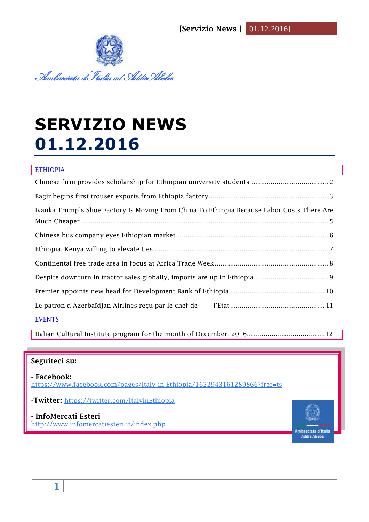**[Servizio News ]** 01.12.2016]



# **SERVIZIO NEWS 01.12.2016**

## **ETHIOPIA**

| Ivanka Trump's Shoe Factory Is Moving From China To Ethiopia Because Labor Costs There Are |
|--------------------------------------------------------------------------------------------|
|                                                                                            |
|                                                                                            |
|                                                                                            |
|                                                                                            |
|                                                                                            |
|                                                                                            |
| <b>EVENTS</b>                                                                              |

Italian Cultural Institute program for the month of December, 2016………………………………..12

### **Seguiteci su:**

**- Facebook:** <https://www.facebook.com/pages/Italy-in-Ethiopia/1622943161289866?fref=ts>

-**Twitter:** <https://twitter.com/ItalyinEthiopia>

**- InfoMercati Esteri**  <http://www.infomercatiesteri.it/index.php>

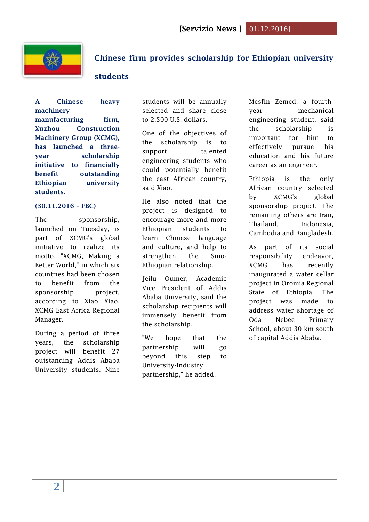

## <span id="page-1-0"></span>**Chinese firm provides scholarship for Ethiopian university**

#### **students**

**A Chinese heavy machinery manufacturing firm, Xuzhou Construction Machinery Group (XCMG), has launched a threeyear scholarship initiative to financially benefit outstanding Ethiopian university students.**

#### **(30.11.2016 – FBC)**

The sponsorship, launched on Tuesday, is part of XCMG's global initiative to realize its motto, "XCMG, Making a Better World," in which six countries had been chosen to benefit from the sponsorship project. according to Xiao Xiao, XCMG East Africa Regional Manager.

During a period of three years, the scholarship project will benefit 27 outstanding Addis Ababa University students. Nine students will be annually selected and share close to 2,500 U.S. dollars.

One of the objectives of the scholarship is to support talented engineering students who could potentially benefit the east African country, said Xiao.

He also noted that the project is designed to encourage more and more Ethiopian students to learn Chinese language and culture, and help to strengthen the Sino-Ethiopian relationship.

Jeilu Oumer, Academic Vice President of Addis Ababa University, said the scholarship recipients will immensely benefit from the scholarship.

"We hope that the partnership will go beyond this step to University-Industry partnership," he added.

Mesfin Zemed, a fourthyear mechanical engineering student, said the scholarship is important for him to effectively pursue his education and his future career as an engineer.

Ethiopia is the only African country selected by XCMG's global sponsorship project. The remaining others are Iran, Thailand, Indonesia, Cambodia and Bangladesh.

As part of its social responsibility endeavor, XCMG has recently inaugurated a water cellar project in Oromia Regional State of Ethiopia. The project was made to address water shortage of Oda Nebee Primary School, about 30 km south of capital Addis Ababa.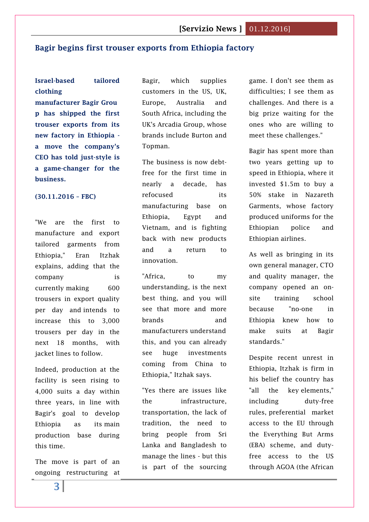#### <span id="page-2-0"></span>**Bagir begins first trouser exports from Ethiopia factory**

## **Israel-based tailored clothing**

**manufacturer Bagir Grou p has shipped the first trouser exports from its new factory in Ethiopia a move the company's CEO has told just-style is a game-changer for the business.**

#### **(30.11.2016 – FBC)**

"We are the first to manufacture and export tailored garments from Ethiopia," Eran Itzhak explains, adding that the company is currently making 600 trousers in export quality per day and intends to increase this to 3,000 trousers per day in the next 18 months, with jacket lines to follow.

Indeed, production at the facility is seen rising to 4,000 suits a day within three years, in line with Bagir's goal to develop Ethiopia as its main production base during this time.

The move is part of an ongoing restructuring at

Bagir, which supplies customers in the US, UK, Europe, Australia and South Africa, including the UK's Arcadia Group, whose brands include Burton and Topman.

The business is now debtfree for the first time in nearly a decade, has refocused its manufacturing base on Ethiopia, Egypt and Vietnam, and is fighting back with new products and a return to innovation.

"Africa, to my understanding, is the next best thing, and you will see that more and more brands and manufacturers understand this, and you can already see huge investments coming from China to Ethiopia," Itzhak says.

"Yes there are issues like the infrastructure, transportation, the lack of tradition, the need to bring people from Sri Lanka and Bangladesh to manage the lines - but this is part of the sourcing

game. I don't see them as difficulties; I see them as challenges. And there is a big prize waiting for the ones who are willing to meet these challenges."

Bagir has spent more than two years getting up to speed in Ethiopia, where it invested \$1.5m to buy a 50% stake in Nazareth Garments, whose factory produced uniforms for the Ethiopian police and Ethiopian airlines.

As well as bringing in its own general manager, CTO and quality manager, the company opened an onsite training school because "no-one in Ethiopia knew how to make suits at Bagir standards."

Despite recent unrest in Ethiopia, Itzhak is firm in his belief the country has "all the key elements," including duty-free rules, preferential market access to the EU through the Everything But Arms (EBA) scheme, and dutyfree access to the US through AGOA (the African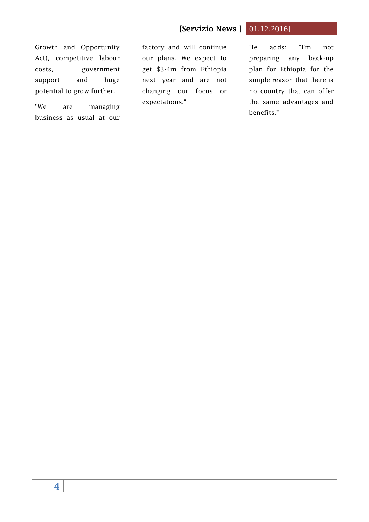## **[Servizio News ]** 01.12.2016]

Growth and Opportunity Act), competitive labour costs, government support and huge potential to grow further.

"We are managing business as usual at our

factory and will continue our plans. We expect to get \$3-4m from Ethiopia next year and are not changing our focus or expectations."

He adds: "I'm not preparing any back-up plan for Ethiopia for the simple reason that there is no country that can offer the same advantages and benefits."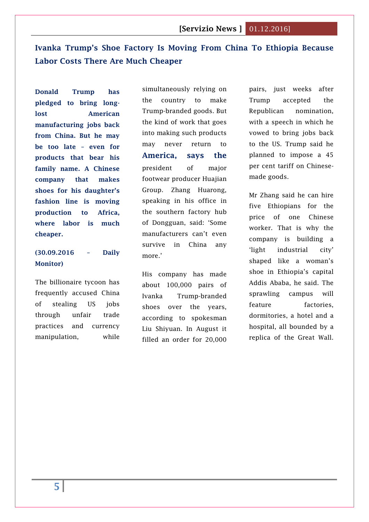## <span id="page-4-0"></span>**Ivanka Trump's Shoe Factory Is Moving From China To Ethiopia Because Labor Costs There Are Much Cheaper**

**Donald Trump has pledged to bring longlost American manufacturing jobs back from China. But he may be too late – even for products that bear his family name. A Chinese company that makes shoes for his daughter's fashion line is moving production to Africa, where labor is much cheaper.**

## **(30.09.2016 – Daily Monitor)**

The billionaire tycoon has frequently accused China of stealing US jobs through unfair trade practices and currency manipulation, while

simultaneously relying on the country to make Trump-branded goods. But the kind of work that goes into making such products may never return to **America, says the** president of major footwear producer Huajian Group. Zhang Huarong, speaking in his office in the southern factory hub of Dongguan, said: 'Some manufacturers can't even survive in China any more.'

His company has made about 100,000 pairs of Ivanka Trump-branded shoes over the years, according to spokesman Liu Shiyuan. In August it filled an order for 20,000 pairs, just weeks after Trump accepted the Republican nomination, with a speech in which he vowed to bring jobs back to the US. Trump said he planned to impose a 45 per cent tariff on Chinesemade goods.

Mr Zhang said he can hire five Ethiopians for the price of one Chinese worker. That is why the company is building a 'light industrial city' shaped like a woman's shoe in Ethiopia's capital Addis Ababa, he said. The sprawling campus will feature factories, dormitories, a hotel and a hospital, all bounded by a replica of the Great Wall.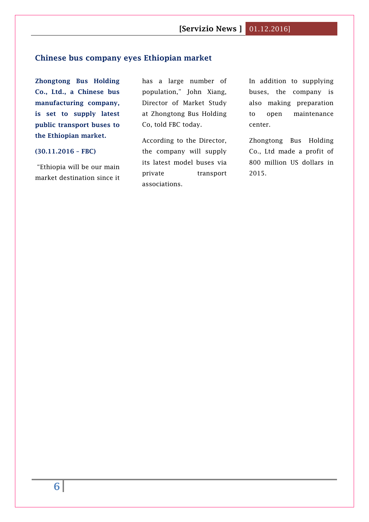## <span id="page-5-0"></span>**Chinese bus company eyes Ethiopian market**

**Zhongtong Bus Holding Co., Ltd., a Chinese bus manufacturing company, is set to supply latest public transport buses to the Ethiopian market.**

#### **(30.11.2016 – FBC)**

"Ethiopia will be our main market destination since it has a large number of population," John Xiang, Director of Market Study at Zhongtong Bus Holding Co, told FBC today.

According to the Director, the company will supply its latest model buses via private transport associations.

In addition to supplying buses, the company is also making preparation to open maintenance center.

Zhongtong Bus Holding Co., Ltd made a profit of 800 million US dollars in 2015.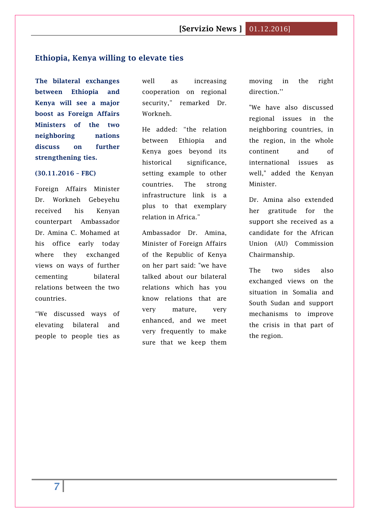#### <span id="page-6-0"></span>**Ethiopia, Kenya willing to elevate ties**

**The bilateral exchanges between Ethiopia and Kenya will see a major boost as Foreign Affairs Ministers of the two neighboring nations discuss on further strengthening ties.**

#### **(30.11.2016 – FBC)**

Foreign Affairs Minister Dr. Workneh Gebeyehu received his Kenyan counterpart Ambassador Dr. Amina C. Mohamed at his office early today where they exchanged views on ways of further cementing bilateral relations between the two countries.

"We discussed ways of elevating bilateral and people to people ties as

well as increasing cooperation on regional security," remarked Dr. Workneh.

He added: "the relation between Ethiopia and Kenya goes beyond its historical significance, setting example to other countries. The strong infrastructure link is a plus to that exemplary relation in Africa."

Ambassador Dr. Amina, Minister of Foreign Affairs of the Republic of Kenya on her part said: "we have talked about our bilateral relations which has you know relations that are very mature, very enhanced, and we meet very frequently to make sure that we keep them moving in the right direction.''

"We have also discussed regional issues in the neighboring countries, in the region, in the whole continent and of international issues as well," added the Kenyan Minister.

Dr. Amina also extended her gratitude for the support she received as a candidate for the African Union (AU) Commission Chairmanship.

The two sides also exchanged views on the situation in Somalia and South Sudan and support mechanisms to improve the crisis in that part of the region.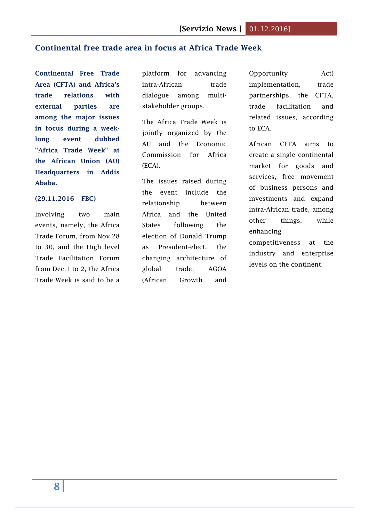## <span id="page-7-0"></span>**Continental free trade area in focus at Africa Trade Week**

**Continental Free Trade Area (CFTA) and Africa's trade relations with external parties are among the major issues in focus during a weeklong event dubbed "Africa Trade Week" at the African Union (AU) Headquarters in Addis Ababa.**

#### **(29.11.2016 – FBC)**

Involving two main events, namely, the Africa Trade Forum, from Nov.28 to 30, and the High level Trade Facilitation Forum from Dec.1 to 2, the Africa Trade Week is said to be a platform for advancing intra-African trade dialogue among multistakeholder groups.

The Africa Trade Week is jointly organized by the AU and the Economic Commission for Africa (ECA).

The issues raised during the event include the relationship between Africa and the United States following the election of Donald Trump as President-elect, the changing architecture of global trade, AGOA (African Growth and

Opportunity Act) implementation, trade partnerships, the CFTA, trade facilitation and related issues, according to ECA.

African CFTA aims to create a single continental market for goods and services, free movement of business persons and investments and expand intra-African trade, among other things, while enhancing

competitiveness at the industry and enterprise levels on the continent.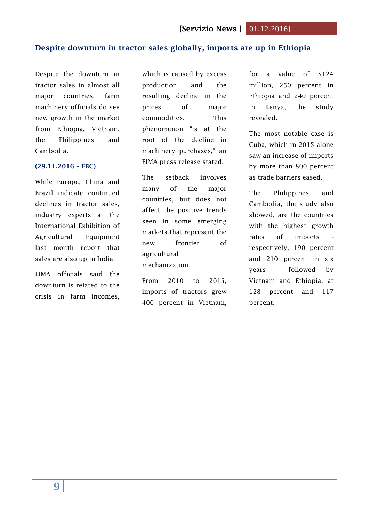## <span id="page-8-0"></span>**Despite downturn in tractor sales globally, imports are up in Ethiopia**

Despite the downturn in tractor sales in almost all major countries, farm machinery officials do see new growth in the market from Ethiopia, Vietnam, the Philippines and Cambodia.

#### **(29.11.2016 – FBC)**

While Europe, China and Brazil indicate continued declines in tractor sales, industry experts at the International Exhibition of Agricultural Equipment last month report that sales are also up in India.

EIMA officials said the downturn is related to the crisis in farm incomes,

which is caused by excess production and the resulting decline in the prices of major commodities. This phenomenon "is at the root of the decline in machinery purchases," an EIMA press release stated.

The setback involves many of the major countries, but does not affect the positive trends seen in some emerging markets that represent the new frontier of agricultural mechanization.

From 2010 to 2015, imports of tractors grew 400 percent in Vietnam,

for a value of \$124 million, 250 percent in Ethiopia and 240 percent in Kenya, the study revealed.

The most notable case is Cuba, which in 2015 alone saw an increase of imports by more than 800 percent as trade barriers eased.

The Philippines and Cambodia, the study also showed, are the countries with the highest growth rates of imports respectively, 190 percent and 210 percent in six years - followed by Vietnam and Ethiopia, at 128 percent and 117 percent.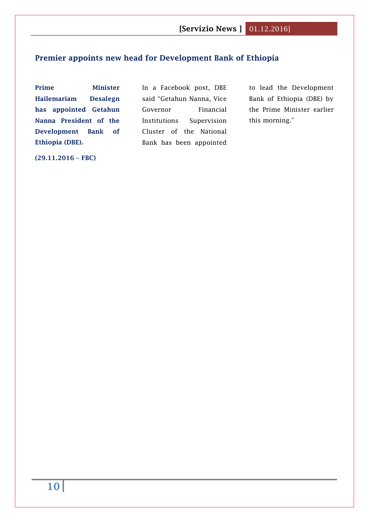## <span id="page-9-0"></span>**Premier appoints new head for Development Bank of Ethiopia**

**Prime Minister Hailemariam Desalegn has appointed Getahun Nanna President of the Development Bank of Ethiopia (DBE).**

In a Facebook post, DBE said "Getahun Nanna, Vice Governor Financial Institutions Supervision Cluster of the National Bank has been appointed

to lead the Development Bank of Ethiopia (DBE) by the Prime Minister earlier this morning."

**(29.11.2016 – FBC)**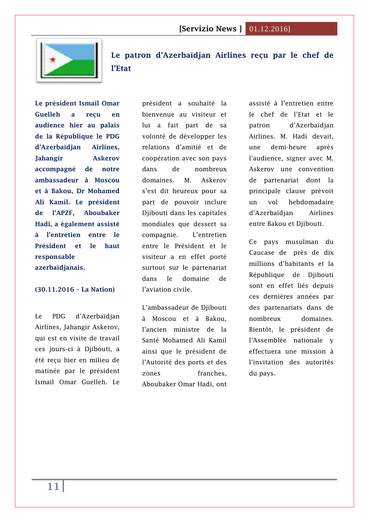

<span id="page-10-0"></span>**Le patron [d'Azerbaïdjan Airlines reçu par le chef de](http://www.lanationdj.com/patron-dazerbaidjan-airlines-recu-chef-de-letat/)  [l'Etat](http://www.lanationdj.com/patron-dazerbaidjan-airlines-recu-chef-de-letat/)**

**Le président Ismaïl Omar Guelleh a reçu en audience hier au palais de la République le PDG d'Azerbaïdjan Airlines, Jahangir Askerov accompagné de notre ambassadeur à Moscou et à Bakou, Dr Mohamed Ali Kamil. Le président de l'APZF, Aboubaker Hadi, a également assisté à l'entretien entre le Président et le haut responsable azerbaïdjanais.**

#### **(30.11.2016 – La Nation)**

Le PDG d'Azerbaïdjan Airlines, Jahangir Askerov, qui est en visite de travail ces jours-ci à Djibouti, a été reçu hier en milieu de matinée par le président Ismaïl Omar Guelleh. Le

président a souhaité la bienvenue au visiteur et lui a fait part de sa volonté de développer les relations d'amitié et de coopération avec son pays dans de nombreux domaines. M. Askerov s'est dit heureux pour sa part de pouvoir inclure Djibouti dans les capitales mondiales que dessert sa compagnie. L'entretien entre le Président et le visiteur a en effet porté surtout sur le partenariat dans le domaine de l'aviation civile.

L'ambassadeur de Djibouti à Moscou et à Bakou, l'ancien ministre de la Santé Mohamed Ali Kamil ainsi que le président de l'Autorité des ports et des zones franches. Aboubaker Omar Hadi, ont

assisté à l'entretien entre le chef de l'Etat et le patron d'Azerbaïdjan Airlines. M. Hadi devait, une demi-heure après l'audience, signer avec M. Askerov une convention de partenariat dont la principale clause prévoit un vol hebdomadaire d'Azerbaïdjan Airlines entre Bakou et Djibouti.

Ce pays musulman du Caucase de près de dix millions d'habitants et la République de Djibouti sont en effet liés depuis ces dernières années par des partenariats dans de nombreux domaines. Bientôt, le président de l'Assemblée nationale y effectuera une mission à l'invitation des autorités du pays.